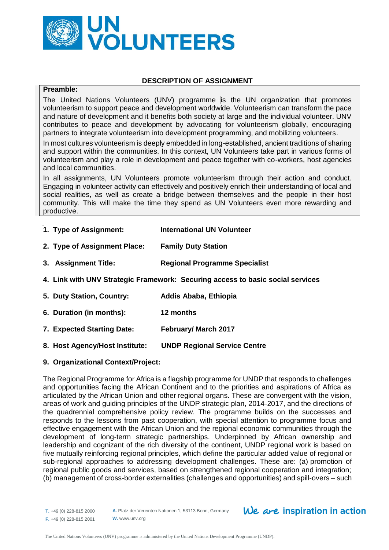

### **DESCRIPTION OF ASSIGNMENT**

#### **Preamble:**

The United Nations Volunteers (UNV) programme is the UN organization that promotes volunteerism to support peace and development worldwide. Volunteerism can transform the pace and nature of development and it benefits both society at large and the individual volunteer. UNV contributes to peace and development by advocating for volunteerism globally, encouraging partners to integrate volunteerism into development programming, and mobilizing volunteers.

In most cultures volunteerism is deeply embedded in long-established, ancient traditions of sharing and support within the communities. In this context, UN Volunteers take part in various forms of volunteerism and play a role in development and peace together with co-workers, host agencies and local communities.

In all assignments, UN Volunteers promote volunteerism through their action and conduct. Engaging in volunteer activity can effectively and positively enrich their understanding of local and social realities, as well as create a bridge between themselves and the people in their host community. This will make the time they spend as UN Volunteers even more rewarding and productive.

- **1. Type of Assignment: International UN Volunteer**
- **2. Type of Assignment Place: Family Duty Station**
- **3. Assignment Title: Regional Programme Specialist**
- **4. Link with UNV Strategic Framework: Securing access to basic social services**
- **5. Duty Station, Country: Addis Ababa, Ethiopia**
- **6. Duration (in months): 12 months**
- **7. Expected Starting Date: February/ March 2017**
- **8. Host Agency/Host Institute: UNDP Regional Service Centre**

#### **9. Organizational Context/Project:**

The Regional Programme for Africa is a flagship programme for UNDP that responds to challenges and opportunities facing the African Continent and to the priorities and aspirations of Africa as articulated by the African Union and other regional organs. These are convergent with the vision, areas of work and guiding principles of the UNDP strategic plan, 2014-2017, and the directions of the quadrennial comprehensive policy review. The programme builds on the successes and responds to the lessons from past cooperation, with special attention to programme focus and effective engagement with the African Union and the regional economic communities through the development of long-term strategic partnerships. Underpinned by African ownership and leadership and cognizant of the rich diversity of the continent, UNDP regional work is based on five mutually reinforcing regional principles, which define the particular added value of regional or sub-regional approaches to addressing development challenges. These are: (a) promotion of regional public goods and services, based on strengthened regional cooperation and integration; (b) management of cross-border externalities (challenges and opportunities) and spill-overs – such

**T.** +49 (0) 228-815 2000 **F.** +49 (0) 228-815 2001

**A.** Platz der Vereinten Nationen 1, 53113 Bonn, Germany **W.** www.unv.org

We are inspiration in action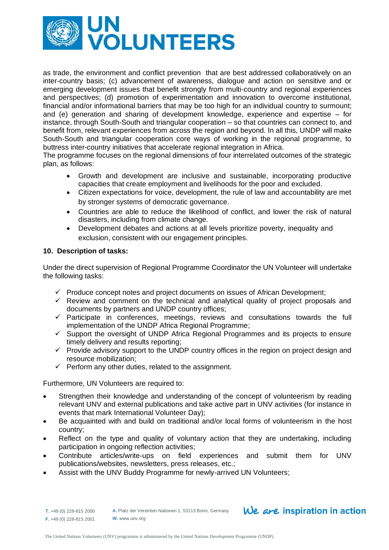

as trade, the environment and conflict prevention that are best addressed collaboratively on an inter-country basis; (c) advancement of awareness, dialogue and action on sensitive and or emerging development issues that benefit strongly from multi-country and regional experiences and perspectives; (d) promotion of experimentation and innovation to overcome institutional, financial and/or informational barriers that may be too high for an individual country to surmount; and (e) generation and sharing of development knowledge, experience and expertise – for instance, through South-South and triangular cooperation – so that countries can connect to, and benefit from, relevant experiences from across the region and beyond. In all this, UNDP will make South-South and triangular cooperation core ways of working in the regional programme, to buttress inter-country initiatives that accelerate regional integration in Africa.

The programme focuses on the regional dimensions of four interrelated outcomes of the strategic plan, as follows:

- Growth and development are inclusive and sustainable, incorporating productive capacities that create employment and livelihoods for the poor and excluded.
- Citizen expectations for voice, development, the rule of law and accountability are met by stronger systems of democratic governance.
- Countries are able to reduce the likelihood of conflict, and lower the risk of natural disasters, including from climate change.
- Development debates and actions at all levels prioritize poverty, inequality and exclusion, consistent with our engagement principles.

## **10. Description of tasks:**

Under the direct supervision of Regional Programme Coordinator the UN Volunteer will undertake the following tasks:

- $\checkmark$  Produce concept notes and project documents on issues of African Development;
- $\checkmark$  Review and comment on the technical and analytical quality of project proposals and documents by partners and UNDP country offices;
- $\checkmark$  Participate in conferences, meetings, reviews and consultations towards the full implementation of the UNDP Africa Regional Programme;
- $\checkmark$  Support the oversight of UNDP Africa Regional Programmes and its projects to ensure timely delivery and results reporting;
- $\checkmark$  Provide advisory support to the UNDP country offices in the region on project design and resource mobilization;
- $\checkmark$  Perform any other duties, related to the assignment.

Furthermore, UN Volunteers are required to:

- Strengthen their knowledge and understanding of the concept of volunteerism by reading relevant UNV and external publications and take active part in UNV activities (for instance in events that mark International Volunteer Day);
- Be acquainted with and build on traditional and/or local forms of volunteerism in the host country;
- Reflect on the type and quality of voluntary action that they are undertaking, including participation in ongoing reflection activities;
- Contribute articles/write-ups on field experiences and submit them for UNV publications/websites, newsletters, press releases, etc.;
- Assist with the UNV Buddy Programme for newly-arrived UN Volunteers;

We are inspiration in action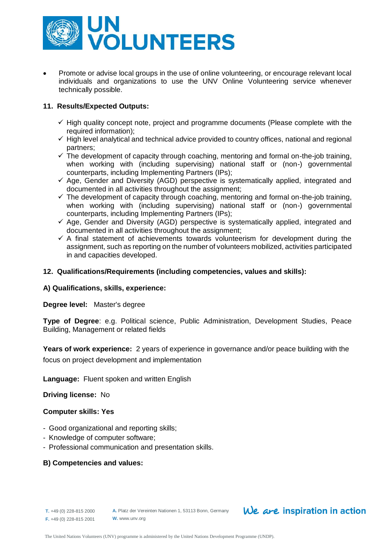

 Promote or advise local groups in the use of online volunteering, or encourage relevant local individuals and organizations to use the UNV Online Volunteering service whenever technically possible.

## **11. Results/Expected Outputs:**

- $\checkmark$  High quality concept note, project and programme documents (Please complete with the required information);
- $\checkmark$  High level analytical and technical advice provided to country offices, national and regional partners;
- $\checkmark$  The development of capacity through coaching, mentoring and formal on-the-job training, when working with (including supervising) national staff or (non-) governmental counterparts, including Implementing Partners (IPs);
- $\checkmark$  Age, Gender and Diversity (AGD) perspective is systematically applied, integrated and documented in all activities throughout the assignment;
- $\checkmark$  The development of capacity through coaching, mentoring and formal on-the-job training, when working with (including supervising) national staff or (non-) governmental counterparts, including Implementing Partners (IPs);
- $\checkmark$  Age, Gender and Diversity (AGD) perspective is systematically applied, integrated and documented in all activities throughout the assignment;
- $\checkmark$  A final statement of achievements towards volunteerism for development during the assignment, such as reporting on the number of volunteers mobilized, activities participated in and capacities developed.

#### **12. Qualifications/Requirements (including competencies, values and skills):**

#### **A) Qualifications, skills, experience:**

#### **Degree level:** Master's degree

**Type of Degree**: e.g. Political science, Public Administration, Development Studies, Peace Building, Management or related fields

**Years of work experience:** 2 years of experience in governance and/or peace building with the

focus on project development and implementation

**Language:** Fluent spoken and written English

**Driving license:** No

## **Computer skills: Yes**

- Good organizational and reporting skills;
- Knowledge of computer software;
- Professional communication and presentation skills.

## **B) Competencies and values:**

**T.** +49 (0) 228-815 2000 **F.** +49 (0) 228-815 2001

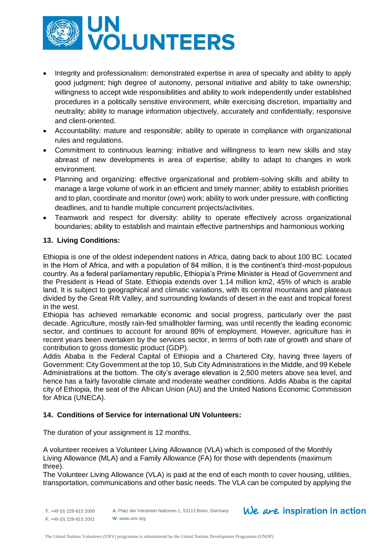

- Integrity and professionalism: demonstrated expertise in area of specialty and ability to apply good judgment; high degree of autonomy, personal initiative and ability to take ownership; willingness to accept wide responsibilities and ability to work independently under established procedures in a politically sensitive environment, while exercising discretion, impartiality and neutrality; ability to manage information objectively, accurately and confidentially; responsive and client-oriented.
- Accountability: mature and responsible; ability to operate in compliance with organizational rules and regulations.
- Commitment to continuous learning: initiative and willingness to learn new skills and stay abreast of new developments in area of expertise; ability to adapt to changes in work environment.
- Planning and organizing: effective organizational and problem-solving skills and ability to manage a large volume of work in an efficient and timely manner; ability to establish priorities and to plan, coordinate and monitor (own) work; ability to work under pressure, with conflicting deadlines, and to handle multiple concurrent projects/activities.
- Teamwork and respect for diversity: ability to operate effectively across organizational boundaries; ability to establish and maintain effective partnerships and harmonious working

# **13. Living Conditions:**

Ethiopia is one of the oldest independent nations in Africa, dating back to about 100 BC. Located in the Horn of Africa, and with a population of 84 million, it is the continent's third-most-populous country. As a federal parliamentary republic, Ethiopia's Prime Minister is Head of Government and the President is Head of State. Ethiopia extends over 1.14 million km2, 45% of which is arable land. It is subject to geographical and climatic variations, with its central mountains and plateaus divided by the Great Rift Valley, and surrounding lowlands of desert in the east and tropical forest in the west.

Ethiopia has achieved remarkable economic and social progress, particularly over the past decade. Agriculture, mostly rain-fed smallholder farming, was until recently the leading economic sector, and continues to account for around 80% of employment. However, agriculture has in recent years been overtaken by the services sector, in terms of both rate of growth and share of contribution to gross domestic product (GDP).

Addis Ababa is the Federal Capital of Ethiopia and a Chartered City, having three layers of Government: City Government at the top 10, Sub City Administrations in the Middle, and 99 Kebele Administrations at the bottom. The city's average elevation is 2,500 meters above sea level, and hence has a fairly favorable climate and moderate weather conditions. Addis Ababa is the capital city of Ethiopia, the seat of the African Union (AU) and the United Nations Economic Commission for Africa (UNECA).

## **14. Conditions of Service for international UN Volunteers:**

The duration of your assignment is 12 months.

A volunteer receives a Volunteer Living Allowance (VLA) which is composed of the Monthly Living Allowance (MLA) and a Family Allowance (FA) for those with dependents (maximum three).

The Volunteer Living Allowance (VLA) is paid at the end of each month to cover housing, utilities, transportation, communications and other basic needs. The VLA can be computed by applying the

**T.** +49 (0) 228-815 2000 **F.** +49 (0) 228-815 2001 **A.** Platz der Vereinten Nationen 1, 53113 Bonn, Germany **W.** www.unv.org